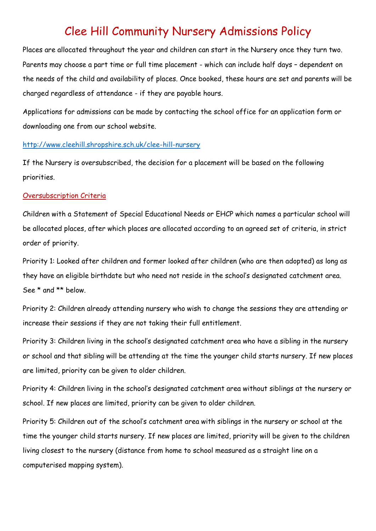## Clee Hill Community Nursery Admissions Policy

Places are allocated throughout the year and children can start in the Nursery once they turn two. Parents may choose a part time or full time placement - which can include half days – dependent on the needs of the child and availability of places. Once booked, these hours are set and parents will be charged regardless of attendance - if they are payable hours.

Applications for admissions can be made by contacting the school office for an application form or downloading one from our school website.

## <http://www.cleehill.shropshire.sch.uk/clee-hill-nursery>

If the Nursery is oversubscribed, the decision for a placement will be based on the following priorities.

## Oversubscription Criteria

Children with a Statement of Special Educational Needs or EHCP which names a particular school will be allocated places, after which places are allocated according to an agreed set of criteria, in strict order of priority.

Priority 1: Looked after children and former looked after children (who are then adopted) as long as they have an eligible birthdate but who need not reside in the school's designated catchment area. See \* and \*\* below.

Priority 2: Children already attending nursery who wish to change the sessions they are attending or increase their sessions if they are not taking their full entitlement.

Priority 3: Children living in the school's designated catchment area who have a sibling in the nursery or school and that sibling will be attending at the time the younger child starts nursery. If new places are limited, priority can be given to older children.

Priority 4: Children living in the school's designated catchment area without siblings at the nursery or school. If new places are limited, priority can be given to older children.

Priority 5: Children out of the school's catchment area with siblings in the nursery or school at the time the younger child starts nursery. If new places are limited, priority will be given to the children living closest to the nursery (distance from home to school measured as a straight line on a computerised mapping system).